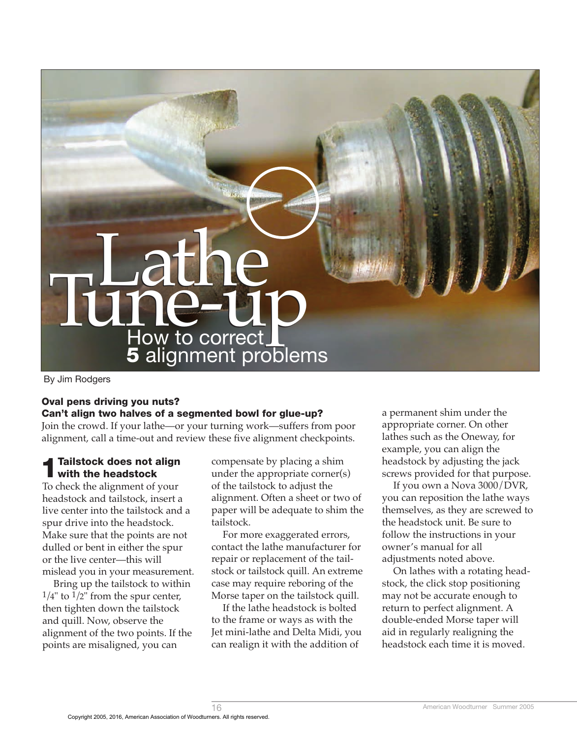# Tune-up **5** alignment problems

By Jim Rodgers

# **Oval pens driving you nuts?**

# **Can't align two halves of a segmented bowl for glue-up?**

Join the crowd. If your lathe—or your turning work—suffers from poor alignment, call a time-out and review these five alignment checkpoints.

# **1Tailstock does not align with the headstock**

To check the alignment of your headstock and tailstock, insert a live center into the tailstock and a spur drive into the headstock. Make sure that the points are not dulled or bent in either the spur or the live center—this will mislead you in your measurement.

Bring up the tailstock to within  $1/4$ " to  $1/2$ " from the spur center, then tighten down the tailstock and quill. Now, observe the alignment of the two points. If the points are misaligned, you can

compensate by placing a shim under the appropriate corner(s) of the tailstock to adjust the alignment. Often a sheet or two of paper will be adequate to shim the tailstock.

For more exaggerated errors, contact the lathe manufacturer for repair or replacement of the tailstock or tailstock quill. An extreme case may require reboring of the Morse taper on the tailstock quill.

If the lathe headstock is bolted to the frame or ways as with the Jet mini-lathe and Delta Midi, you can realign it with the addition of

a permanent shim under the appropriate corner. On other lathes such as the Oneway, for example, you can align the headstock by adjusting the jack screws provided for that purpose.

If you own a Nova 3000/DVR, you can reposition the lathe ways themselves, as they are screwed to the headstock unit. Be sure to follow the instructions in your owner's manual for all adjustments noted above.

On lathes with a rotating headstock, the click stop positioning may not be accurate enough to return to perfect alignment. A double-ended Morse taper will aid in regularly realigning the headstock each time it is moved.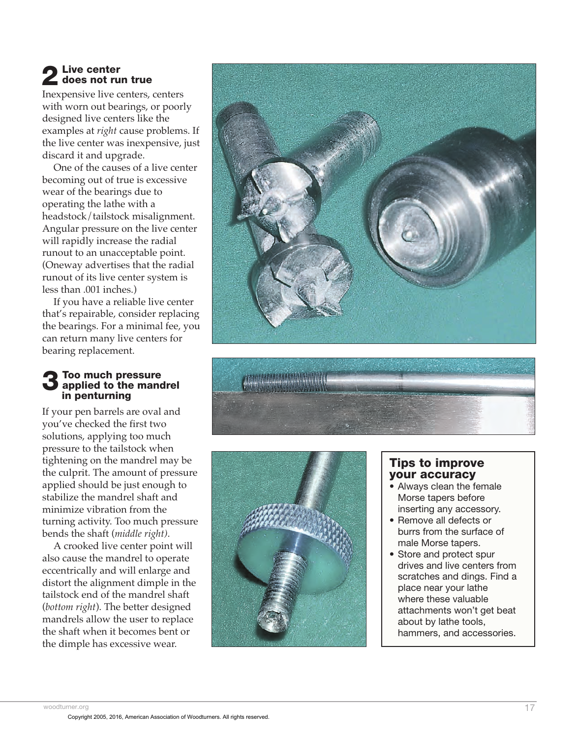# **does not run true**

Inexpensive live centers, centers with worn out bearings, or poorly designed live centers like the examples at *right* cause problems. If the live center was inexpensive, just discard it and upgrade.

One of the causes of a live center becoming out of true is excessive wear of the bearings due to operating the lathe with a headstock/tailstock misalignment. Angular pressure on the live center will rapidly increase the radial runout to an unacceptable point. (Oneway advertises that the radial runout of its live center system is less than .001 inches.)

If you have a reliable live center that's repairable, consider replacing the bearings. For a minimal fee, you can return many live centers for bearing replacement.

# **3 Too much pressure applied to the mandrel in penturning**

If your pen barrels are oval and you've checked the first two solutions, applying too much pressure to the tailstock when tightening on the mandrel may be the culprit. The amount of pressure applied should be just enough to stabilize the mandrel shaft and minimize vibration from the turning activity. Too much pressure bends the shaft (*middle right)* .

A crooked live center point will also cause the mandrel to operate eccentrically and will enlarge and distort the alignment dimple in the tailstock end of the mandrel shaft (*bottom right*). The better designed mandrels allow the user to replace the shaft when it becomes bent or the dimple has excessive wear.







# **Tips to improve your accuracy**

- Always clean the female Morse tapers before inserting any accessory.
- Remove all defects or burrs from the surface of male Morse tapers.
- Store and protect spur drives and live centers from scratches and dings. Find a place near your lathe where these valuable attachments won't get beat about by lathe tools, hammers, and accessories.